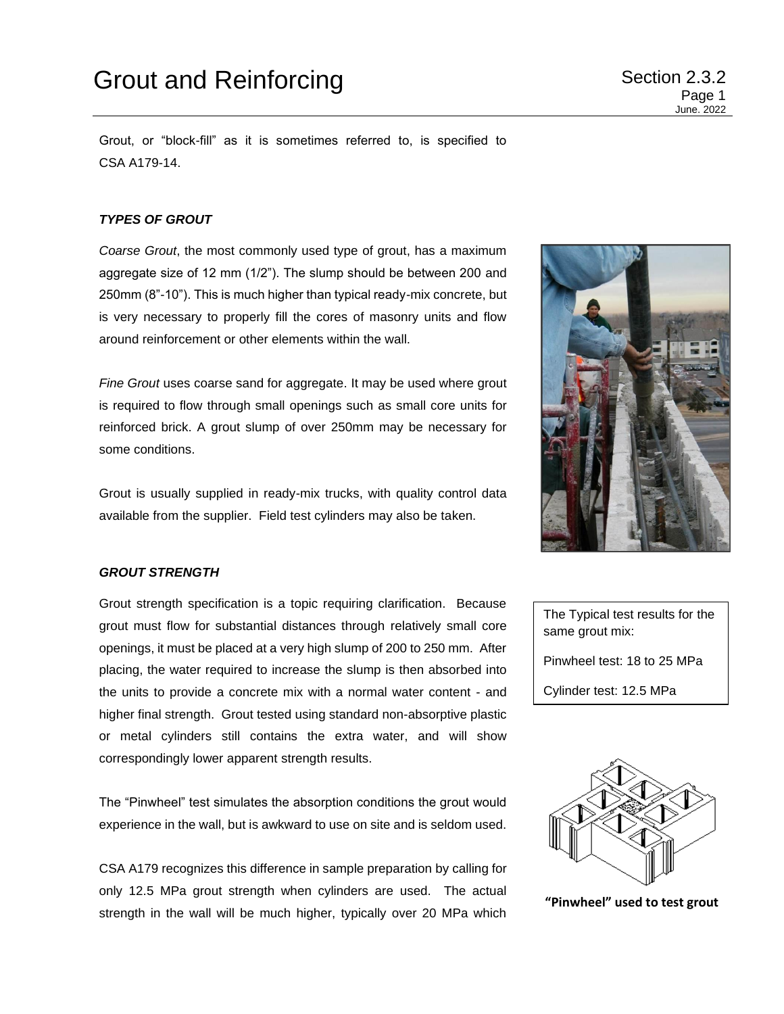Page 1 June. 2022

Grout, or "block-fill" as it is sometimes referred to, is specified to CSA A179-14.

# *TYPES OF GROUT*

*Coarse Grout*, the most commonly used type of grout, has a maximum aggregate size of 12 mm (1/2"). The slump should be between 200 and 250mm (8"-10"). This is much higher than typical ready-mix concrete, but is very necessary to properly fill the cores of masonry units and flow around reinforcement or other elements within the wall.

*Fine Grout* uses coarse sand for aggregate. It may be used where grout is required to flow through small openings such as small core units for reinforced brick. A grout slump of over 250mm may be necessary for some conditions.

Grout is usually supplied in ready-mix trucks, with quality control data available from the supplier. Field test cylinders may also be taken.

### *GROUT STRENGTH*

Grout strength specification is a topic requiring clarification. Because grout must flow for substantial distances through relatively small core openings, it must be placed at a very high slump of 200 to 250 mm. After placing, the water required to increase the slump is then absorbed into the units to provide a concrete mix with a normal water content - and higher final strength. Grout tested using standard non-absorptive plastic or metal cylinders still contains the extra water, and will show correspondingly lower apparent strength results.

The "Pinwheel" test simulates the absorption conditions the grout would experience in the wall, but is awkward to use on site and is seldom used.

CSA A179 recognizes this difference in sample preparation by calling for only 12.5 MPa grout strength when cylinders are used. The actual strength in the wall will be much higher, typically over 20 MPa which



The Typical test results for the same grout mix: Pinwheel test: 18 to 25 MPa Cylinder test: 12.5 MPa



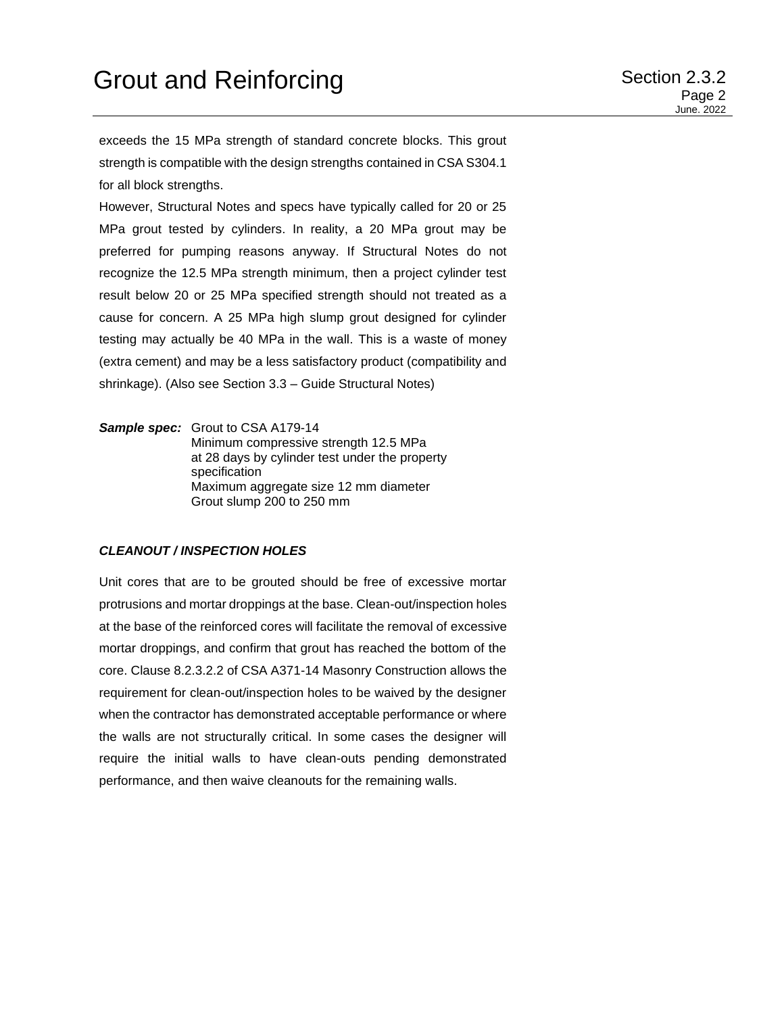exceeds the 15 MPa strength of standard concrete blocks. This grout strength is compatible with the design strengths contained in CSA S304.1 for all block strengths.

However, Structural Notes and specs have typically called for 20 or 25 MPa grout tested by cylinders. In reality, a 20 MPa grout may be preferred for pumping reasons anyway. If Structural Notes do not recognize the 12.5 MPa strength minimum, then a project cylinder test result below 20 or 25 MPa specified strength should not treated as a cause for concern. A 25 MPa high slump grout designed for cylinder testing may actually be 40 MPa in the wall. This is a waste of money (extra cement) and may be a less satisfactory product (compatibility and shrinkage). (Also see Section 3.3 – Guide Structural Notes)

*Sample spec:* Grout to CSA A179-14 Minimum compressive strength 12.5 MPa at 28 days by cylinder test under the property specification Maximum aggregate size 12 mm diameter Grout slump 200 to 250 mm

#### *CLEANOUT / INSPECTION HOLES*

Unit cores that are to be grouted should be free of excessive mortar protrusions and mortar droppings at the base. Clean-out/inspection holes at the base of the reinforced cores will facilitate the removal of excessive mortar droppings, and confirm that grout has reached the bottom of the core. Clause 8.2.3.2.2 of CSA A371-14 Masonry Construction allows the requirement for clean-out/inspection holes to be waived by the designer when the contractor has demonstrated acceptable performance or where the walls are not structurally critical. In some cases the designer will require the initial walls to have clean-outs pending demonstrated performance, and then waive cleanouts for the remaining walls.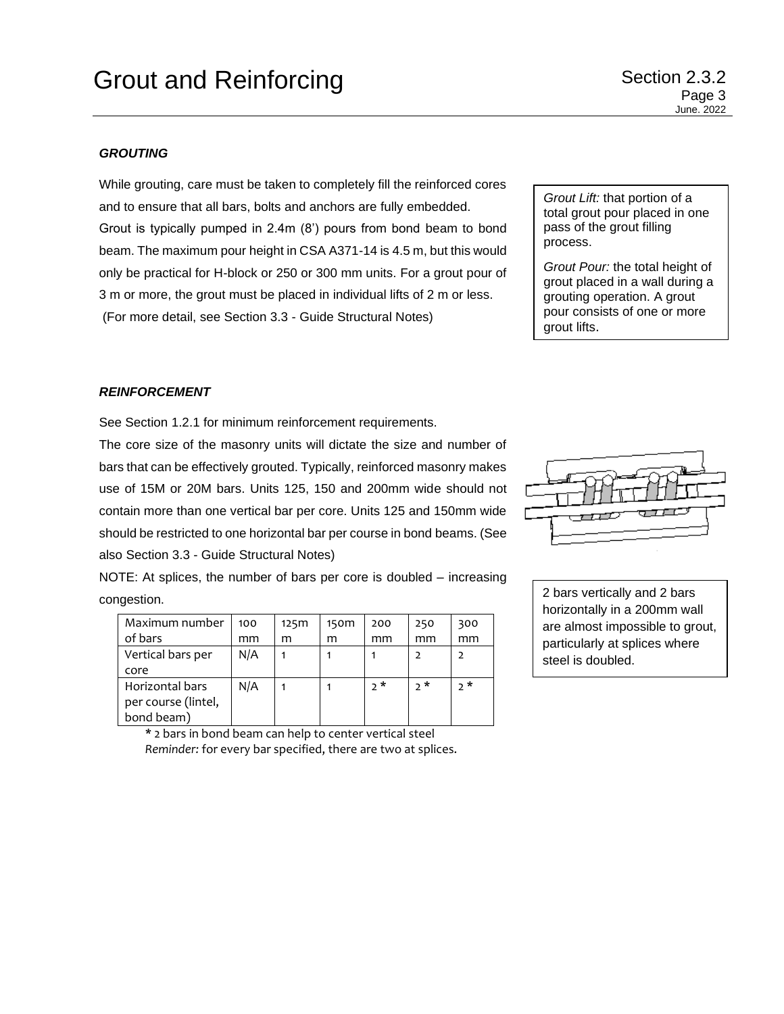### *GROUTING*

While grouting, care must be taken to completely fill the reinforced cores and to ensure that all bars, bolts and anchors are fully embedded. Grout is typically pumped in 2.4m (8') pours from bond beam to bond beam. The maximum pour height in CSA A371-14 is 4.5 m, but this would only be practical for H-block or 250 or 300 mm units. For a grout pour of 3 m or more, the grout must be placed in individual lifts of 2 m or less. (For more detail, see Section 3.3 - Guide Structural Notes)

*Grout Lift:* that portion of a total grout pour placed in one pass of the grout filling process.

*Grout Pour:* the total height of grout placed in a wall during a grouting operation. A grout pour consists of one or more grout lifts.

# *REINFORCEMENT*

See Section 1.2.1 for minimum reinforcement requirements.

The core size of the masonry units will dictate the size and number of bars that can be effectively grouted. Typically, reinforced masonry makes use of 15M or 20M bars. Units 125, 150 and 200mm wide should not contain more than one vertical bar per core. Units 125 and 150mm wide should be restricted to one horizontal bar per course in bond beams. (See also Section 3.3 - Guide Structural Notes)

NOTE: At splices, the number of bars per core is doubled – increasing congestion.

| Maximum number      | 100 | 125m | 150 <sub>m</sub> | 200 | 250 | 300 |
|---------------------|-----|------|------------------|-----|-----|-----|
| of bars             | mm  | m    | m                | mm  | mm  | mm  |
| Vertical bars per   | N/A |      |                  |     |     |     |
| core                |     |      |                  |     |     |     |
| Horizontal bars     | N/A |      |                  | ን * | ን * | ን * |
| per course (lintel, |     |      |                  |     |     |     |
| bond beam)          |     |      |                  |     |     |     |

**\*** 2 bars in bond beam can help to center vertical steel *Reminder:* for every bar specified, there are two at splices.



2 bars vertically and 2 bars horizontally in a 200mm wall are almost impossible to grout, particularly at splices where steel is doubled.